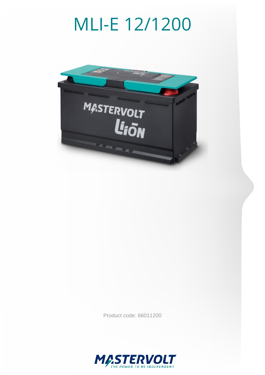# MLI-E 12/1200



Product code: 66011200

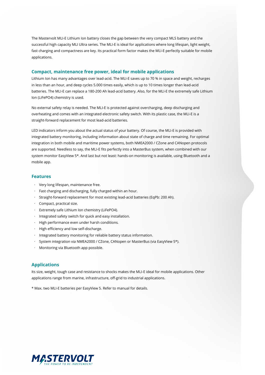The Mastervolt MLI-E Lithium Ion battery closes the gap between the very compact MLS battery and the successful high capacity MLI Ultra series. The MLI-E is ideal for applications where long lifespan, light weight, fast charging and compactness are key. Its practical form factor makes the MLI-E perfectly suitable for mobile applications.

### **Compact, maintenance free power, ideal for mobile applications**

Lithium Ion has many advantages over lead-acid. The MLI-E saves up to 70 % in space and weight, recharges in less than an hour, and deep cycles 5.000 times easily, which is up to 10 times longer than lead-acid batteries. The MLI-E can replace a 180-200 Ah lead-acid battery. Also, for the MLI-E the extremely safe Lithium Ion (LiFePO4) chemistry is used.

No external safety relay is needed. The MLI-E is protected against overcharging, deep discharging and overheating and comes with an integrated electronic safety switch. With its plastic case, the MLI-E is a straight-forward replacement for most lead-acid batteries.

LED indicators inform you about the actual status of your battery. Of course, the MLI-E is provided with integrated battery monitoring, including information about state of charge and time remaining. For optimal integration in both mobile and maritime power systems, both NMEA2000 / CZone and CANopen protocols are supported. Needless to say, the MLI-E fits perfectly into a MasterBus system, when combined with our system monitor EasyView 5\*. And last but not least: hands-on monitoring is available, using Bluetooth and a mobile app.

### **Features**

- · Very long lifespan, maintenance free.
- · Fast charging and discharging, fully charged within an hour.
- · Straight-forward replacement for most existing lead-acid batteries (EqPb: 200 Ah).
- · Compact, practical size.
- · Extremely safe Lithium Ion chemistry (LiFePO4).
- · Integrated safety switch for quick and easy installation.
- · High performance even under harsh conditions.
- · High efficiency and low self-discharge.
- · Integrated battery monitoring for reliable battery status information.
- · System integration via NMEA2000 / CZone, CANopen or MasterBus (via EasyView 5\*).
- · Monitoring via Bluetooth app possible.

### **Applications**

Its size, weight, tough case and resistance to shocks makes the MLI-E ideal for mobile applications. Other applications range from marine, infrastructure, off-grid to industrial applications.

\* Max. two MLI-E batteries per EasyView 5. Refer to manual for details.